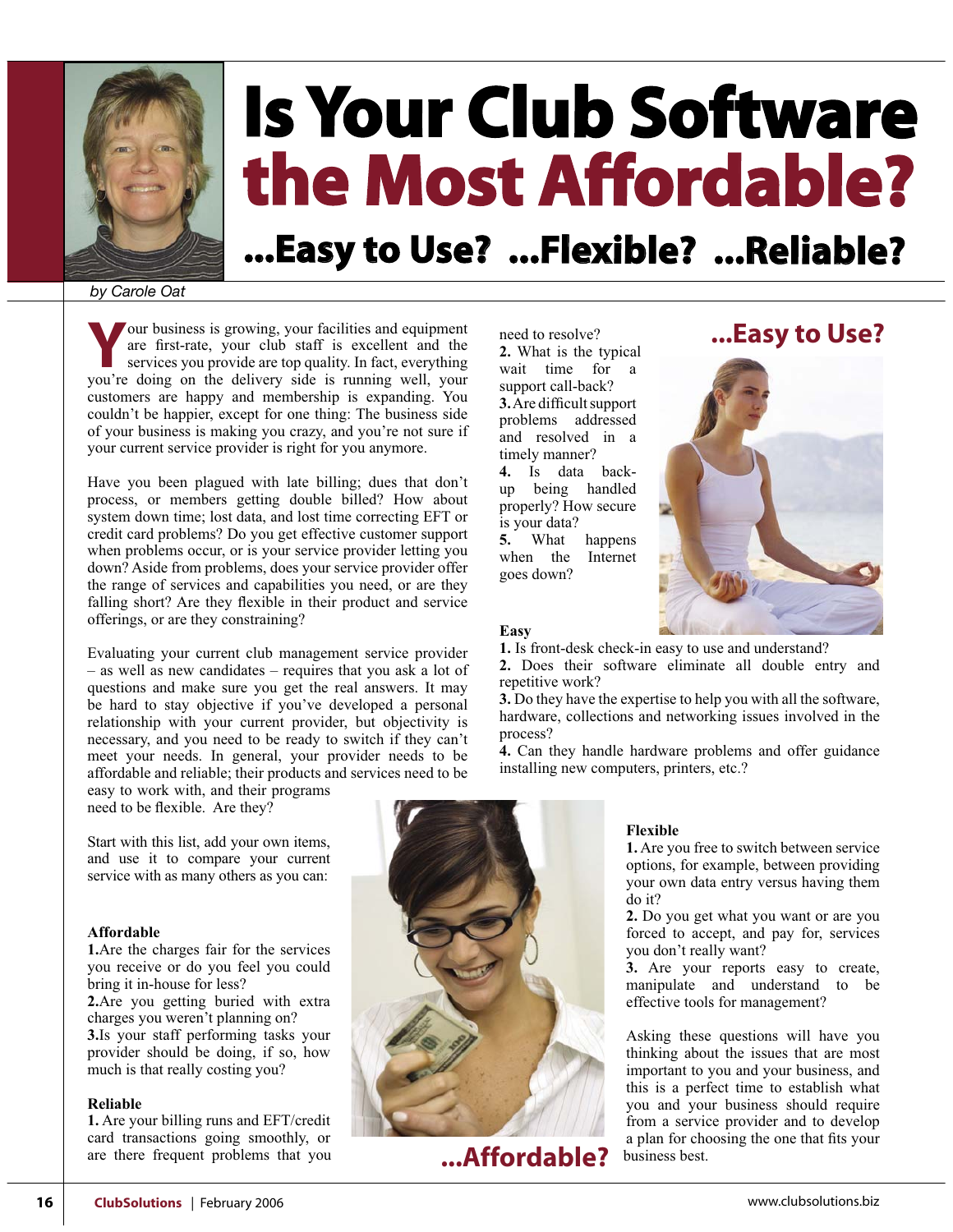

# **Is Your Club Software Is Your Club Software the Most Affordable? the Most ...Easy to Use? ...Flexible? ...Reliable? ...Easy to Use? ...Flexible?**

#### *by Carole Oat*

**Your business is growing, your facilities and equipment** are first-rate, your club staff is excellent and the services you provide are top quality. In fact, everything you're doing on the delivery side is running well, yo are first-rate, your club staff is excellent and the you're doing on the delivery side is running well, your customers are happy and membership is expanding. You couldn't be happier, except for one thing: The business side of your business is making you crazy, and you're not sure if your current service provider is right for you anymore.

Have you been plagued with late billing; dues that don't process, or members getting double billed? How about system down time; lost data, and lost time correcting EFT or credit card problems? Do you get effective customer support when problems occur, or is your service provider letting you down? Aside from problems, does your service provider offer the range of services and capabilities you need, or are they falling short? Are they flexible in their product and service offerings, or are they constraining?

Evaluating your current club management service provider – as well as new candidates – requires that you ask a lot of questions and make sure you get the real answers. It may be hard to stay objective if you've developed a personal relationship with your current provider, but objectivity is necessary, and you need to be ready to switch if they can't meet your needs. In general, your provider needs to be affordable and reliable; their products and services need to be

easy to work with, and their programs need to be flexible. Are they?

Start with this list, add your own items, and use it to compare your current service with as many others as you can:

## **Affordable**

**1.**Are the charges fair for the services you receive or do you feel you could bring it in-house for less? **2.**Are you getting buried with extra charges you weren't planning on? **3.**Is your staff performing tasks your provider should be doing, if so, how much is that really costing you?

#### **Reliable**

**1.** Are your billing runs and EFT/credit card transactions going smoothly, or are there frequent problems that you need to resolve? **2.** What is the typical wait time for a support call-back? **3.**Are difficult support problems addressed and resolved in a timely manner? **4.** Is data backup being handled properly? How secure is your data? **5.** What happens when the Internet goes down?



#### **Easy**

**1.** Is front-desk check-in easy to use and understand?

**2.** Does their software eliminate all double entry and repetitive work?

**3.** Do they have the expertise to help you with all the software, hardware, collections and networking issues involved in the process?

**4.** Can they handle hardware problems and offer guidance installing new computers, printers, etc.?



**...Affordable?**

#### **Flexible**

**1.** Are you free to switch between service options, for example, between providing your own data entry versus having them do it?

**2.** Do you get what you want or are you forced to accept, and pay for, services you don't really want?

**3.** Are your reports easy to create, manipulate and understand to be effective tools for management?

Asking these questions will have you thinking about the issues that are most important to you and your business, and this is a perfect time to establish what you and your business should require from a service provider and to develop a plan for choosing the one that fits your business best.